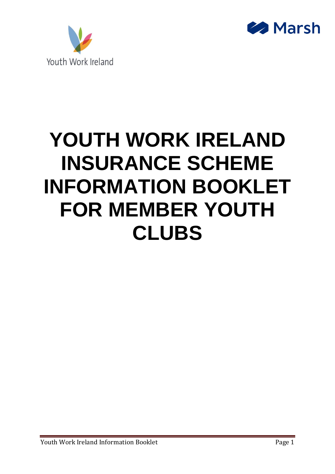



# **YOUTH WORK IRELAND INSURANCE SCHEME INFORMATION BOOKLET FOR MEMBER YOUTH CLUBS**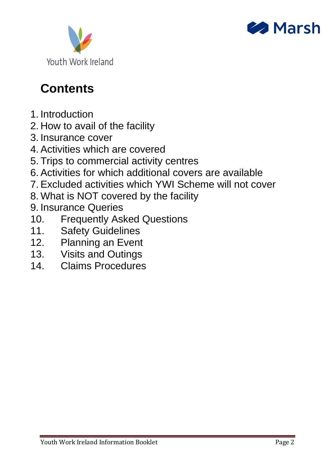



# **Contents**

- 1. Introduction
- 2. How to avail of the facility
- 3. Insurance cover
- 4. Activities which are covered
- 5. Trips to commercial activity centres
- 6. Activities for which additional covers are available
- 7. Excluded activities which YWI Scheme will not cover
- 8. What is NOT covered by the facility
- 9. Insurance Queries
- 10. Frequently Asked Questions
- 11. Safety Guidelines
- 12. Planning an Event
- 13. Visits and Outings
- 14. Claims Procedures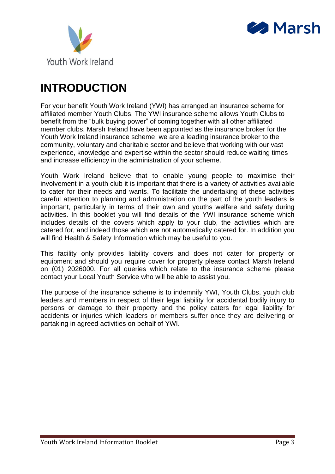



## **INTRODUCTION**

For your benefit Youth Work Ireland (YWI) has arranged an insurance scheme for affiliated member Youth Clubs. The YWI insurance scheme allows Youth Clubs to benefit from the "bulk buying power" of coming together with all other affiliated member clubs. Marsh Ireland have been appointed as the insurance broker for the Youth Work Ireland insurance scheme, we are a leading insurance broker to the community, voluntary and charitable sector and believe that working with our vast experience, knowledge and expertise within the sector should reduce waiting times and increase efficiency in the administration of your scheme.

Youth Work Ireland believe that to enable young people to maximise their involvement in a youth club it is important that there is a variety of activities available to cater for their needs and wants. To facilitate the undertaking of these activities careful attention to planning and administration on the part of the youth leaders is important, particularly in terms of their own and youths welfare and safety during activities. In this booklet you will find details of the YWI insurance scheme which includes details of the covers which apply to your club, the activities which are catered for, and indeed those which are not automatically catered for. In addition you will find Health & Safety Information which may be useful to you.

This facility only provides liability covers and does not cater for property or equipment and should you require cover for property please contact Marsh Ireland on (01) 2026000. For all queries which relate to the insurance scheme please contact your Local Youth Service who will be able to assist you.

The purpose of the insurance scheme is to indemnify YWI, Youth Clubs, youth club leaders and members in respect of their legal liability for accidental bodily injury to persons or damage to their property and the policy caters for legal liability for accidents or injuries which leaders or members suffer once they are delivering or partaking in agreed activities on behalf of YWI.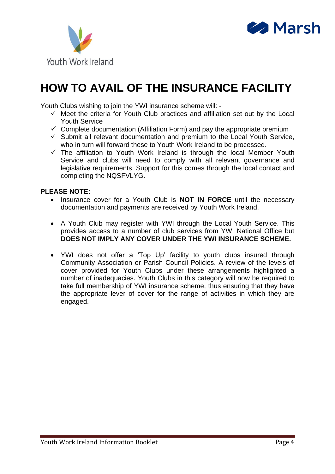



## **HOW TO AVAIL OF THE INSURANCE FACILITY**

Youth Clubs wishing to join the YWI insurance scheme will: -

- $\checkmark$  Meet the criteria for Youth Club practices and affiliation set out by the Local Youth Service
- $\checkmark$  Complete documentation (Affiliation Form) and pay the appropriate premium
- $\checkmark$  Submit all relevant documentation and premium to the Local Youth Service, who in turn will forward these to Youth Work Ireland to be processed.
- ✓ The affiliation to Youth Work Ireland is through the local Member Youth Service and clubs will need to comply with all relevant governance and legislative requirements. Support for this comes through the local contact and completing the NQSFVLYG.

#### **PLEASE NOTE:**

- Insurance cover for a Youth Club is **NOT IN FORCE** until the necessary documentation and payments are received by Youth Work Ireland.
- A Youth Club may register with YWI through the Local Youth Service. This provides access to a number of club services from YWI National Office but **DOES NOT IMPLY ANY COVER UNDER THE YWI INSURANCE SCHEME.**
- YWI does not offer a 'Top Up' facility to youth clubs insured through Community Association or Parish Council Policies. A review of the levels of cover provided for Youth Clubs under these arrangements highlighted a number of inadequacies. Youth Clubs in this category will now be required to take full membership of YWI insurance scheme, thus ensuring that they have the appropriate lever of cover for the range of activities in which they are engaged.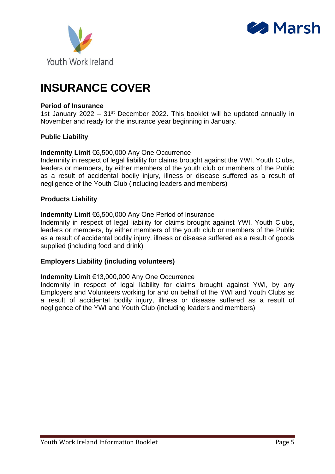



### **INSURANCE COVER**

#### **Period of Insurance**

1st January 2022 –  $31<sup>st</sup>$  December 2022. This booklet will be updated annually in November and ready for the insurance year beginning in January.

#### **Public Liability**

#### **Indemnity Limit** €6,500,000 Any One Occurrence

Indemnity in respect of legal liability for claims brought against the YWI, Youth Clubs, leaders or members, by either members of the youth club or members of the Public as a result of accidental bodily injury, illness or disease suffered as a result of negligence of the Youth Club (including leaders and members)

#### **Products Liability**

#### **Indemnity Limit** €6,500,000 Any One Period of Insurance

Indemnity in respect of legal liability for claims brought against YWI, Youth Clubs, leaders or members, by either members of the youth club or members of the Public as a result of accidental bodily injury, illness or disease suffered as a result of goods supplied (including food and drink)

#### **Employers Liability (including volunteers)**

#### **Indemnity Limit** €13,000,000 Any One Occurrence

Indemnity in respect of legal liability for claims brought against YWI, by any Employers and Volunteers working for and on behalf of the YWI and Youth Clubs as a result of accidental bodily injury, illness or disease suffered as a result of negligence of the YWI and Youth Club (including leaders and members)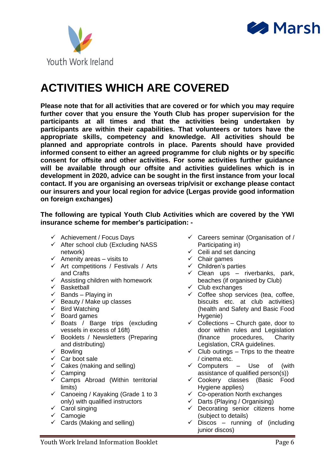



### **ACTIVITIES WHICH ARE COVERED**

**Please note that for all activities that are covered or for which you may require further cover that you ensure the Youth Club has proper supervision for the participants at all times and that the activities being undertaken by participants are within their capabilities. That volunteers or tutors have the appropriate skills, competency and knowledge. All activities should be planned and appropriate controls in place. Parents should have provided informed consent to either an agreed programme for club nights or by specific consent for offsite and other activities. For some activities further guidance will be available through our offsite and activities guidelines which is in development in 2020, advice can be sought in the first instance from your local contact. If you are organising an overseas trip/visit or exchange please contact our insurers and your local region for advice (Lergas provide good information on foreign exchanges)**

**The following are typical Youth Club Activities which are covered by the YWI insurance scheme for member's participation: -**

- $\checkmark$  Achievement / Focus Days
- $\checkmark$  After school club (Excluding NASS network)
- $\checkmark$  Amenity areas visits to
- $\checkmark$  Art competitions / Festivals / Arts and Crafts
- $\checkmark$  Assisting children with homework
- $\checkmark$  Basketball
- $\checkmark$  Bands Playing in
- $\checkmark$  Beauty / Make up classes
- $\checkmark$  Bird Watching
- ✓ Board games
- $\checkmark$  Boats / Barge trips (excluding vessels in excess of 16ft)
- $\checkmark$  Booklets / Newsletters (Preparing and distributing)
- ✓ Bowling
- $\checkmark$  Car boot sale
- $\checkmark$  Cakes (making and selling)
- $\checkmark$  Camping
- $\checkmark$  Camps Abroad (Within territorial limits)
- ✓ Canoeing / Kayaking (Grade 1 to 3 only) with qualified instructors
- oniy) with qua<br>Carol singing
- ✓ Camogie
- $\checkmark$  Cards (Making and selling)
- $\checkmark$  Careers seminar (Organisation of / Participating in)
- $\checkmark$  Ceili and set dancing
- ✓ Chair games
- ✓ Children's parties
- $\checkmark$  Clean ups riverbanks, park, beaches (if organised by Club)
- ✓ Club exchanges
- $\checkmark$  Coffee shop services (tea, coffee, biscuits etc. at club activities) (health and Safety and Basic Food Hygenie)
- $\checkmark$  Collections Church gate, door to door within rules and Legislation (finance procedures, Charity Legislation, CRA guidelines.
- $\checkmark$  Club outings Trips to the theatre / cinema etc.
- $\checkmark$  Computers Use of (with assistance of qualified person(s))
- ✓ Cookery classes (Basic Food Hygiene applies)
- $\checkmark$  Co-operation North exchanges
- $\checkmark$  Darts (Playing / Organising)
- $\checkmark$  Decorating senior citizens home (subject to details)
- $\checkmark$  Discos running of (including junior discos)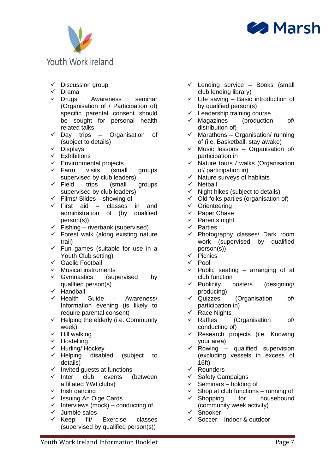



- $\checkmark$  Discussion group
- ✓ Drama
- ✓ Drugs Awareness seminar (Organisation of / Participation of) specific parental consent should be sought for personal health related talks
- $\checkmark$  Day trips Organisation of (subject to details)
- ✓ Displays
- $\checkmark$  Exhibitions
- $\checkmark$  Environmental projects
- ✓ Farm visits (small groups supervised by club leaders)
- ✓ Field trips (small groups supervised by club leaders)
- $\checkmark$  Films/ Slides showing of
- $\checkmark$  First aid classes in and administration of (by qualified person(s))
- $\checkmark$  Fishing riverbank (supervised)
- $\checkmark$  Forest walk (along existing nature trail)
- $\checkmark$  Fun games (suitable for use in a Youth Club setting)
- ✓ Gaelic Football
- ✓ Musical instruments
- $\checkmark$  Gymnastics (supervised by qualified person(s)
- ✓ Handball
- $\checkmark$  Health Guide Awareness/ Information evening (is likely to require parental consent)
- $\checkmark$  Helping the elderly (i.e. Community week)
- $\checkmark$  Hill walking
- ✓ Hostelling
- ✓ Hurling/ Hockey
- ✓ Helping disabled (subject to details)
- ✓ Invited guests at functions
- ✓ Inter club events (between affiliated YWI clubs)
- ✓ Irish dancing
- $\checkmark$  Issuing An Oige Cards
- $\checkmark$  Interviews (mock) conducting of
- ✓ Jumble sales
- ✓ Keep fit/ Exercise classes (supervised by qualified person(s))
- $\checkmark$  Lending service Books (small club lending library)
- $\checkmark$  Life saving Basic introduction of by qualified person(s)
- $\checkmark$  Leadership training course
- $\checkmark$  Magazines (production of/ distribution of)
- $\checkmark$  Marathons Organisation/ running of (i.e. Basketball, stay awake)
- $\checkmark$  Music lessons Organisation of/ participation in
- ✓ Nature tours / walks (Organisation of/ participation in)
- ✓ Nature surveys of habitats
- ✓ Netball
- $\checkmark$  Night hikes (subject to details)
- $\checkmark$  Old folks parties (organisation of)
- ✓ Orienteering
- ✓ Paper Chase
- ✓ Parents night
- ✓ Parties
- ✓ Photography classes/ Dark room work (supervised by qualified person(s))
- ✓ Picnics
- ✓ Pool
- $\checkmark$  Public seating arranging of at club function
- $\checkmark$  Publicity posters (designing/ producing)
- ✓ Quizzes (Organisation of/ participation in)
- $\checkmark$  Race Nights
- ✓ Raffles (Organisation of/ conducting of)
- $\checkmark$  Research projects (i.e. Knowing your area)
- $\checkmark$  Rowing qualified supervision (excluding vessels in excess of 16ft)
- ✓ Rounders
- ✓ Safety Campaigns
- $\checkmark$  Seminars holding of
- $\checkmark$  Shop at club functions running of
- $\checkmark$  Shopping for housebound (community week activity)
- ✓ Snooker
- ✓ Soccer Indoor & outdoor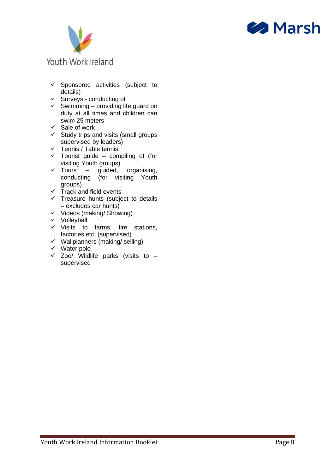



- $\checkmark$  Sponsored activities (subject to details)
- $\checkmark$  Surveys conducting of
- $\checkmark$  Swimming providing life guard on duty at all times and children can swim 25 meters
- ✓ Sale of work
- $\checkmark$  Study trips and visits (small groups supervised by leaders)
- ✓ Tennis / Table tennis
- $\checkmark$  Tourist guide compiling of (for visiting Youth groups)
- $\checkmark$  Tours guided, organising, conducting (for visiting Youth groups)
- $\checkmark$  Track and field events
- ✓ Treasure hunts (subject to details – excludes car hunts)
- ✓ Videos (making/ Showing)
- ✓ Volleyball
- $\checkmark$  Visits to farms, fire stations, factories etc. (supervised)
- $\checkmark$  Wallplanners (making/ selling)
- ✓ Water polo
- $\checkmark$  Zoo/ Wildlife parks (visits to supervised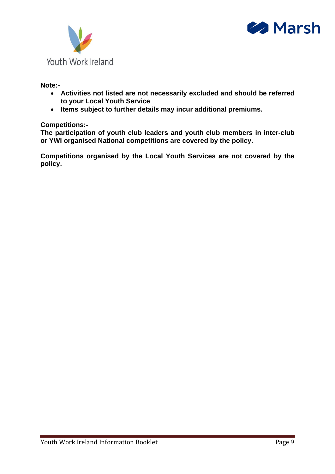



#### **Note:-**

- **Activities not listed are not necessarily excluded and should be referred to your Local Youth Service**
- **Items subject to further details may incur additional premiums.**

#### **Competitions:-**

**The participation of youth club leaders and youth club members in inter-club or YWI organised National competitions are covered by the policy.** 

**Competitions organised by the Local Youth Services are not covered by the policy.**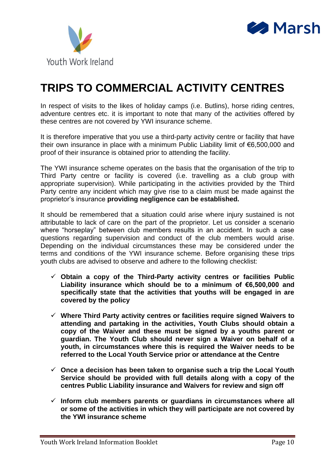



## **TRIPS TO COMMERCIAL ACTIVITY CENTRES**

In respect of visits to the likes of holiday camps (i.e. Butlins), horse riding centres, adventure centres etc. it is important to note that many of the activities offered by these centres are not covered by YWI insurance scheme.

It is therefore imperative that you use a third-party activity centre or facility that have their own insurance in place with a minimum Public Liability limit of €6,500,000 and proof of their insurance is obtained prior to attending the facility.

The YWI insurance scheme operates on the basis that the organisation of the trip to Third Party centre or facility is covered (i.e. travelling as a club group with appropriate supervision). While participating in the activities provided by the Third Party centre any incident which may give rise to a claim must be made against the proprietor's insurance **providing negligence can be established.** 

It should be remembered that a situation could arise where injury sustained is not attributable to lack of care on the part of the proprietor. Let us consider a scenario where "horseplay" between club members results in an accident. In such a case questions regarding supervision and conduct of the club members would arise. Depending on the individual circumstances these may be considered under the terms and conditions of the YWI insurance scheme. Before organising these trips youth clubs are advised to observe and adhere to the following checklist:

- ✓ **Obtain a copy of the Third-Party activity centres or facilities Public Liability insurance which should be to a minimum of €6,500,000 and specifically state that the activities that youths will be engaged in are covered by the policy**
- ✓ **Where Third Party activity centres or facilities require signed Waivers to attending and partaking in the activities, Youth Clubs should obtain a copy of the Waiver and these must be signed by a youths parent or guardian. The Youth Club should never sign a Waiver on behalf of a youth, in circumstances where this is required the Waiver needs to be referred to the Local Youth Service prior or attendance at the Centre**
- ✓ **Once a decision has been taken to organise such a trip the Local Youth Service should be provided with full details along with a copy of the centres Public Liability insurance and Waivers for review and sign off**
- ✓ **Inform club members parents or guardians in circumstances where all or some of the activities in which they will participate are not covered by the YWI insurance scheme**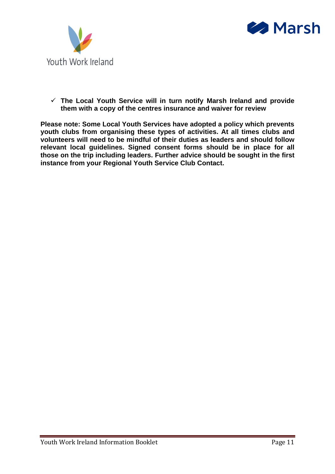



✓ **The Local Youth Service will in turn notify Marsh Ireland and provide them with a copy of the centres insurance and waiver for review** 

**Please note: Some Local Youth Services have adopted a policy which prevents youth clubs from organising these types of activities. At all times clubs and volunteers will need to be mindful of their duties as leaders and should follow relevant local guidelines. Signed consent forms should be in place for all those on the trip including leaders. Further advice should be sought in the first instance from your Regional Youth Service Club Contact.**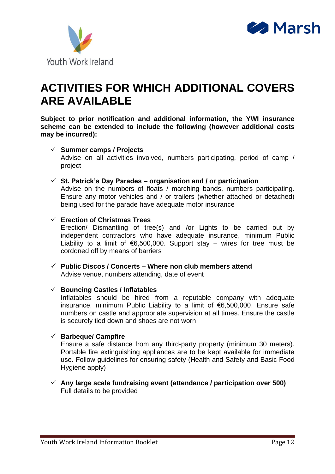



### **ACTIVITIES FOR WHICH ADDITIONAL COVERS ARE AVAILABLE**

**Subject to prior notification and additional information, the YWI insurance scheme can be extended to include the following (however additional costs may be incurred):**

#### ✓ **Summer camps / Projects**

Advise on all activities involved, numbers participating, period of camp / project

#### ✓ **St. Patrick's Day Parades – organisation and / or participation**

Advise on the numbers of floats / marching bands, numbers participating. Ensure any motor vehicles and / or trailers (whether attached or detached) being used for the parade have adequate motor insurance

#### ✓ **Erection of Christmas Trees**

Erection/ Dismantling of tree(s) and /or Lights to be carried out by independent contractors who have adequate insurance, minimum Public Liability to a limit of  $€6,500,000$ . Support stay – wires for tree must be cordoned off by means of barriers

✓ **Public Discos / Concerts – Where non club members attend**  Advise venue, numbers attending, date of event

#### ✓ **Bouncing Castles / Inflatables**

Inflatables should be hired from a reputable company with adequate insurance, minimum Public Liability to a limit of €6,500,000. Ensure safe numbers on castle and appropriate supervision at all times. Ensure the castle is securely tied down and shoes are not worn

#### ✓ **Barbeque/ Campfire**

Ensure a safe distance from any third-party property (minimum 30 meters). Portable fire extinguishing appliances are to be kept available for immediate use. Follow guidelines for ensuring safety (Health and Safety and Basic Food Hygiene apply)

✓ **Any large scale fundraising event (attendance / participation over 500)** Full details to be provided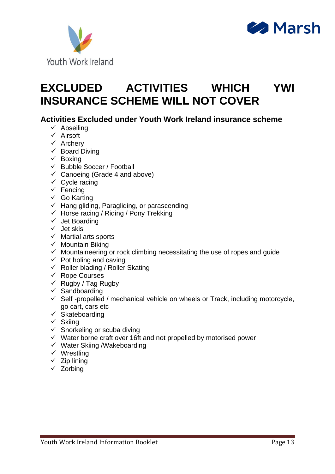



### **EXCLUDED ACTIVITIES WHICH YWI INSURANCE SCHEME WILL NOT COVER**

#### **Activities Excluded under Youth Work Ireland insurance scheme**

- ✓ Abseiling
- ✓ Airsoft
- ✓ Archery
- $\checkmark$  Board Diving
- ✓ Boxing
- ✓ Bubble Soccer / Football
- $\checkmark$  Canoeing (Grade 4 and above)
- $\checkmark$  Cycle racing
- $\checkmark$  Fencing
- ✓ Go Karting
- $\checkmark$  Hang gliding, Paragliding, or parascending
- ✓ Horse racing / Riding / Pony Trekking
- ✓ Jet Boarding
- ✓ Jet skis
- ✓ Martial arts sports
- $\checkmark$  Mountain Biking
- ✓ Mountaineering or rock climbing necessitating the use of ropes and guide
- $\checkmark$  Pot holing and caving
- $\checkmark$  Roller blading / Roller Skating
- ✓ Rope Courses
- $\checkmark$  Rugby / Tag Rugby
- $\checkmark$  Sandboarding
- $\checkmark$  Self-propelled / mechanical vehicle on wheels or Track, including motorcycle, go cart, cars etc
- yo cand called called commonly
- ✓ Skiing
- $\checkmark$  Snorkeling or scuba diving
- $\checkmark$  Water borne craft over 16ft and not propelled by motorised power
- ✓ Water Skiing /Wakeboarding
- ✓ Wrestling
- $\times$  Zip lining
- ✓ Zorbing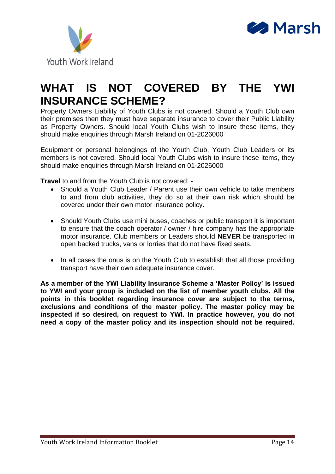



### **WHAT IS NOT COVERED BY THE YWI INSURANCE SCHEME?**

Property Owners Liability of Youth Clubs is not covered. Should a Youth Club own their premises then they must have separate insurance to cover their Public Liability as Property Owners. Should local Youth Clubs wish to insure these items, they should make enquiries through Marsh Ireland on 01-2026000

Equipment or personal belongings of the Youth Club, Youth Club Leaders or its members is not covered. Should local Youth Clubs wish to insure these items, they should make enquiries through Marsh Ireland on 01-2026000

**Travel** to and from the Youth Club is not covered: -

- Should a Youth Club Leader / Parent use their own vehicle to take members to and from club activities, they do so at their own risk which should be covered under their own motor insurance policy.
- Should Youth Clubs use mini buses, coaches or public transport it is important to ensure that the coach operator / owner / hire company has the appropriate motor insurance. Club members or Leaders should **NEVER** be transported in open backed trucks, vans or lorries that do not have fixed seats.
- In all cases the onus is on the Youth Club to establish that all those providing transport have their own adequate insurance cover.

**As a member of the YWI Liability Insurance Scheme a 'Master Policy' is issued to YWI and your group is included on the list of member youth clubs. All the points in this booklet regarding insurance cover are subject to the terms, exclusions and conditions of the master policy. The master policy may be inspected if so desired, on request to YWI. In practice however, you do not need a copy of the master policy and its inspection should not be required.**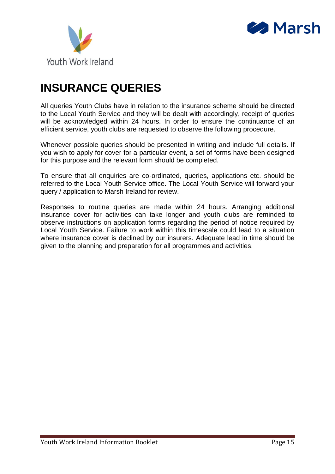



### **INSURANCE QUERIES**

All queries Youth Clubs have in relation to the insurance scheme should be directed to the Local Youth Service and they will be dealt with accordingly, receipt of queries will be acknowledged within 24 hours. In order to ensure the continuance of an efficient service, youth clubs are requested to observe the following procedure.

Whenever possible queries should be presented in writing and include full details. If you wish to apply for cover for a particular event, a set of forms have been designed for this purpose and the relevant form should be completed.

To ensure that all enquiries are co-ordinated, queries, applications etc. should be referred to the Local Youth Service office. The Local Youth Service will forward your query / application to Marsh Ireland for review.

Responses to routine queries are made within 24 hours. Arranging additional insurance cover for activities can take longer and youth clubs are reminded to observe instructions on application forms regarding the period of notice required by Local Youth Service. Failure to work within this timescale could lead to a situation where insurance cover is declined by our insurers. Adequate lead in time should be given to the planning and preparation for all programmes and activities.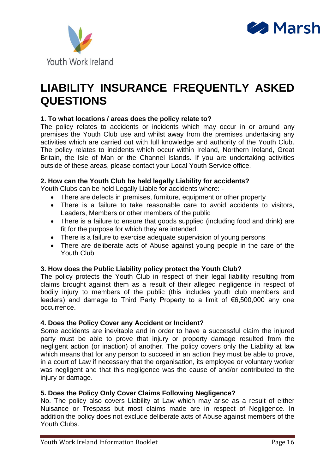



### **LIABILITY INSURANCE FREQUENTLY ASKED QUESTIONS**

#### **1. To what locations / areas does the policy relate to?**

The policy relates to accidents or incidents which may occur in or around any premises the Youth Club use and whilst away from the premises undertaking any activities which are carried out with full knowledge and authority of the Youth Club. The policy relates to incidents which occur within Ireland, Northern Ireland, Great Britain, the Isle of Man or the Channel Islands. If you are undertaking activities outside of these areas, please contact your Local Youth Service office.

#### **2. How can the Youth Club be held legally Liability for accidents?**

Youth Clubs can be held Legally Liable for accidents where: -

- There are defects in premises, furniture, equipment or other property
- There is a failure to take reasonable care to avoid accidents to visitors, Leaders, Members or other members of the public
- There is a failure to ensure that goods supplied (including food and drink) are fit for the purpose for which they are intended.
- There is a failure to exercise adequate supervision of young persons
- There are deliberate acts of Abuse against young people in the care of the Youth Club

#### **3. How does the Public Liability policy protect the Youth Club?**

The policy protects the Youth Club in respect of their legal liability resulting from claims brought against them as a result of their alleged negligence in respect of bodily injury to members of the public (this includes youth club members and leaders) and damage to Third Party Property to a limit of €6,500,000 any one occurrence.

#### **4. Does the Policy Cover any Accident or Incident?**

Some accidents are inevitable and in order to have a successful claim the injured party must be able to prove that injury or property damage resulted from the negligent action (or inaction) of another. The policy covers only the Liability at law which means that for any person to succeed in an action they must be able to prove, in a court of Law if necessary that the organisation, its employee or voluntary worker was negligent and that this negligence was the cause of and/or contributed to the injury or damage.

#### **5. Does the Policy Only Cover Claims Following Negligence?**

No. The policy also covers Liability at Law which may arise as a result of either Nuisance or Trespass but most claims made are in respect of Negligence. In addition the policy does not exclude deliberate acts of Abuse against members of the Youth Clubs.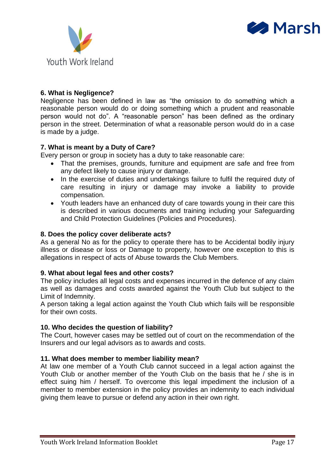



#### **6. What is Negligence?**

Negligence has been defined in law as "the omission to do something which a reasonable person would do or doing something which a prudent and reasonable person would not do". A "reasonable person" has been defined as the ordinary person in the street. Determination of what a reasonable person would do in a case is made by a judge.

#### **7. What is meant by a Duty of Care?**

Every person or group in society has a duty to take reasonable care:

- That the premises, grounds, furniture and equipment are safe and free from any defect likely to cause injury or damage.
- In the exercise of duties and undertakings failure to fulfil the required duty of care resulting in injury or damage may invoke a liability to provide compensation.
- Youth leaders have an enhanced duty of care towards young in their care this is described in various documents and training including your Safeguarding and Child Protection Guidelines (Policies and Procedures).

#### **8. Does the policy cover deliberate acts?**

As a general No as for the policy to operate there has to be Accidental bodily injury illness or disease or loss or Damage to property, however one exception to this is allegations in respect of acts of Abuse towards the Club Members.

#### **9. What about legal fees and other costs?**

The policy includes all legal costs and expenses incurred in the defence of any claim as well as damages and costs awarded against the Youth Club but subject to the Limit of Indemnity.

A person taking a legal action against the Youth Club which fails will be responsible for their own costs.

#### **10. Who decides the question of liability?**

The Court, however cases may be settled out of court on the recommendation of the Insurers and our legal advisors as to awards and costs.

#### **11. What does member to member liability mean?**

At law one member of a Youth Club cannot succeed in a legal action against the Youth Club or another member of the Youth Club on the basis that he / she is in effect suing him / herself. To overcome this legal impediment the inclusion of a member to member extension in the policy provides an indemnity to each individual giving them leave to pursue or defend any action in their own right.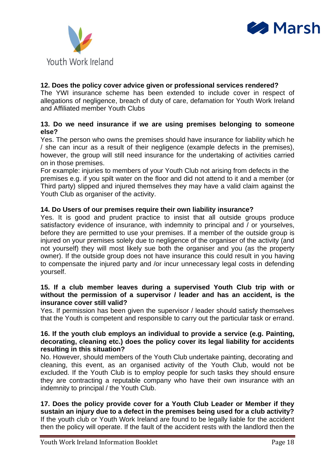



#### **12. Does the policy cover advice given or professional services rendered?**

The YWI insurance scheme has been extended to include cover in respect of allegations of negligence, breach of duty of care, defamation for Youth Work Ireland and Affiliated member Youth Clubs

#### **13. Do we need insurance if we are using premises belonging to someone else?**

Yes. The person who owns the premises should have insurance for liability which he / she can incur as a result of their negligence (example defects in the premises), however, the group will still need insurance for the undertaking of activities carried on in those premises.

For example: injuries to members of your Youth Club not arising from defects in the premises e.g. if you spilt water on the floor and did not attend to it and a member (or Third party) slipped and injured themselves they may have a valid claim against the Youth Club as organiser of the activity.

#### **14. Do Users of our premises require their own liability insurance?**

Yes. It is good and prudent practice to insist that all outside groups produce satisfactory evidence of insurance, with indemnity to principal and / or yourselves, before they are permitted to use your premises. If a member of the outside group is injured on your premises solely due to negligence of the organiser of the activity (and not yourself) they will most likely sue both the organiser and you (as the property owner). If the outside group does not have insurance this could result in you having to compensate the injured party and /or incur unnecessary legal costs in defending yourself.

#### **15. If a club member leaves during a supervised Youth Club trip with or without the permission of a supervisor / leader and has an accident, is the insurance cover still valid?**

Yes. If permission has been given the supervisor / leader should satisfy themselves that the Youth is competent and responsible to carry out the particular task or errand.

#### **16. If the youth club employs an individual to provide a service (e.g. Painting, decorating, cleaning etc.) does the policy cover its legal liability for accidents resulting in this situation?**

No. However, should members of the Youth Club undertake painting, decorating and cleaning, this event, as an organised activity of the Youth Club, would not be excluded. If the Youth Club is to employ people for such tasks they should ensure they are contracting a reputable company who have their own insurance with an indemnity to principal / the Youth Club.

**17. Does the policy provide cover for a Youth Club Leader or Member if they sustain an injury due to a defect in the premises being used for a club activity?** If the youth club or Youth Work Ireland are found to be legally liable for the accident then the policy will operate. If the fault of the accident rests with the landlord then the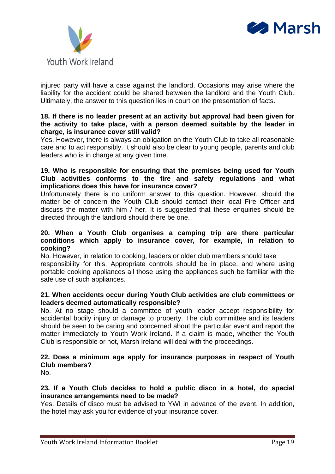



injured party will have a case against the landlord. Occasions may arise where the liability for the accident could be shared between the landlord and the Youth Club. Ultimately, the answer to this question lies in court on the presentation of facts.

#### **18. If there is no leader present at an activity but approval had been given for the activity to take place, with a person deemed suitable by the leader in charge, is insurance cover still valid?**

Yes. However, there is always an obligation on the Youth Club to take all reasonable care and to act responsibly. It should also be clear to young people, parents and club leaders who is in charge at any given time.

#### **19. Who is responsible for ensuring that the premises being used for Youth Club activities conforms to the fire and safety regulations and what implications does this have for insurance cover?**

Unfortunately there is no uniform answer to this question. However, should the matter be of concern the Youth Club should contact their local Fire Officer and discuss the matter with him / her. It is suggested that these enquiries should be directed through the landlord should there be one.

#### **20. When a Youth Club organises a camping trip are there particular conditions which apply to insurance cover, for example, in relation to cooking?**

No. However, in relation to cooking, leaders or older club members should take responsibility for this. Appropriate controls should be in place, and where using portable cooking appliances all those using the appliances such be familiar with the safe use of such appliances.

#### **21. When accidents occur during Youth Club activities are club committees or leaders deemed automatically responsible?**

No. At no stage should a committee of youth leader accept responsibility for accidental bodily injury or damage to property. The club committee and its leaders should be seen to be caring and concerned about the particular event and report the matter immediately to Youth Work Ireland. If a claim is made, whether the Youth Club is responsible or not, Marsh Ireland will deal with the proceedings.

#### **22. Does a minimum age apply for insurance purposes in respect of Youth Club members?**

No.

#### **23. If a Youth Club decides to hold a public disco in a hotel, do special insurance arrangements need to be made?**

Yes. Details of disco must be advised to YWI in advance of the event. In addition, the hotel may ask you for evidence of your insurance cover.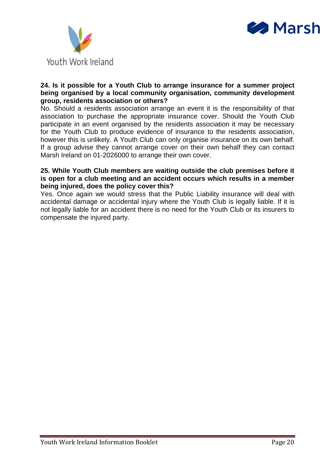



#### **24. Is it possible for a Youth Club to arrange insurance for a summer project being organised by a local community organisation, community development group, residents association or others?**

No. Should a residents association arrange an event it is the responsibility of that association to purchase the appropriate insurance cover. Should the Youth Club participate in an event organised by the residents association it may be necessary for the Youth Club to produce evidence of insurance to the residents association, however this is unlikely. A Youth Club can only organise insurance on its own behalf. If a group advise they cannot arrange cover on their own behalf they can contact Marsh Ireland on 01-2026000 to arrange their own cover.

#### **25. While Youth Club members are waiting outside the club premises before it is open for a club meeting and an accident occurs which results in a member being injured, does the policy cover this?**

Yes. Once again we would stress that the Public Liability insurance will deal with accidental damage or accidental injury where the Youth Club is legally liable. If it is not legally liable for an accident there is no need for the Youth Club or its insurers to compensate the injured party.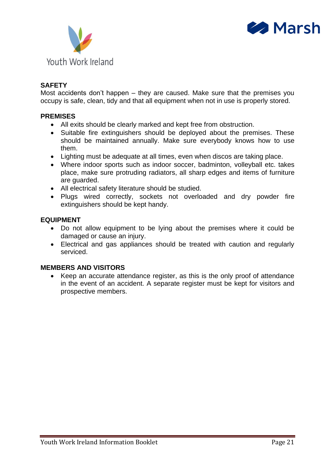



#### **SAFETY**

Most accidents don't happen – they are caused. Make sure that the premises you occupy is safe, clean, tidy and that all equipment when not in use is properly stored.

#### **PREMISES**

- All exits should be clearly marked and kept free from obstruction.
- Suitable fire extinguishers should be deployed about the premises. These should be maintained annually. Make sure everybody knows how to use them.
- Lighting must be adequate at all times, even when discos are taking place.
- Where indoor sports such as indoor soccer, badminton, volleyball etc. takes place, make sure protruding radiators, all sharp edges and items of furniture are guarded.
- All electrical safety literature should be studied.
- Plugs wired correctly, sockets not overloaded and dry powder fire extinguishers should be kept handy.

#### **EQUIPMENT**

- Do not allow equipment to be lying about the premises where it could be damaged or cause an injury.
- Electrical and gas appliances should be treated with caution and regularly serviced.

#### **MEMBERS AND VISITORS**

• Keep an accurate attendance register, as this is the only proof of attendance in the event of an accident. A separate register must be kept for visitors and prospective members.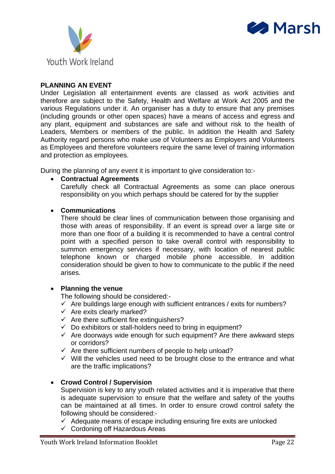



#### **PLANNING AN EVENT**

Under Legislation all entertainment events are classed as work activities and therefore are subject to the Safety, Health and Welfare at Work Act 2005 and the various Regulations under it. An organiser has a duty to ensure that any premises (including grounds or other open spaces) have a means of access and egress and any plant, equipment and substances are safe and without risk to the health of Leaders, Members or members of the public. In addition the Health and Safety Authority regard persons who make use of Volunteers as Employers and Volunteers as Employees and therefore volunteers require the same level of training information and protection as employees.

During the planning of any event it is important to give consideration to:-

#### • **Contractual Agreements**

Carefully check all Contractual Agreements as some can place onerous responsibility on you which perhaps should be catered for by the supplier

#### • **Communications**

There should be clear lines of communication between those organising and those with areas of responsibility. If an event is spread over a large site or more than one floor of a building it is recommended to have a central control point with a specified person to take overall control with responsibility to summon emergency services if necessary, with location of nearest public telephone known or charged mobile phone accessible. In addition consideration should be given to how to communicate to the public if the need arises.

#### • **Planning the venue**

The following should be considered:-

 $\checkmark$  Are buildings large enough with sufficient entrances / exits for numbers?

- $\checkmark$  Are exits clearly marked?
- $\checkmark$  Are there sufficient fire extinguishers?
- $\checkmark$  Do exhibitors or stall-holders need to bring in equipment?
- $\checkmark$  Are doorways wide enough for such equipment? Are there awkward steps or corridors?
- ✓ Are there sufficient numbers of people to help unload?
- $\checkmark$  Will the vehicles used need to be brought close to the entrance and what are the traffic implications?

#### • **Crowd Control / Supervision**

Supervision is key to any youth related activities and it is imperative that there is adequate supervision to ensure that the welfare and safety of the youths can be maintained at all times. In order to ensure crowd control safety the following should be considered:-

 $\checkmark$  Adequate means of escape including ensuring fire exits are unlocked

 $\checkmark$  Cordoning off Hazardous Areas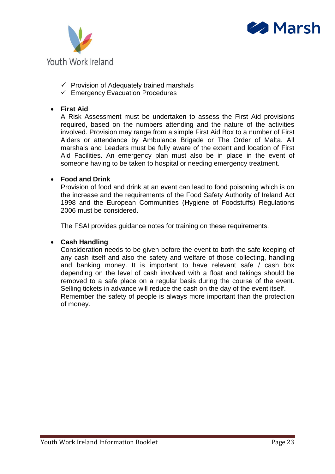



- $\checkmark$  Provision of Adequately trained marshals
- $\checkmark$  Emergency Evacuation Procedures

#### • **First Aid**

A Risk Assessment must be undertaken to assess the First Aid provisions required, based on the numbers attending and the nature of the activities involved. Provision may range from a simple First Aid Box to a number of First Aiders or attendance by Ambulance Brigade or The Order of Malta. All marshals and Leaders must be fully aware of the extent and location of First Aid Facilities. An emergency plan must also be in place in the event of someone having to be taken to hospital or needing emergency treatment.

#### • **Food and Drink**

Provision of food and drink at an event can lead to food poisoning which is on the increase and the requirements of the Food Safety Authority of Ireland Act 1998 and the European Communities (Hygiene of Foodstuffs) Regulations 2006 must be considered.

The FSAI provides guidance notes for training on these requirements.

#### • **Cash Handling**

Consideration needs to be given before the event to both the safe keeping of any cash itself and also the safety and welfare of those collecting, handling and banking money. It is important to have relevant safe / cash box depending on the level of cash involved with a float and takings should be removed to a safe place on a regular basis during the course of the event. Selling tickets in advance will reduce the cash on the day of the event itself. Remember the safety of people is always more important than the protection of money.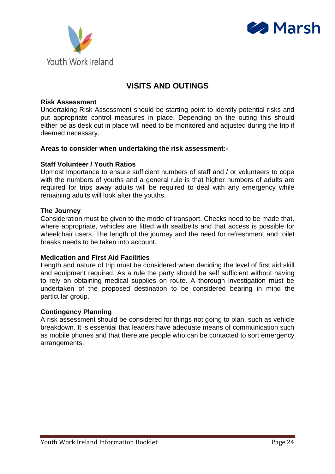



### **VISITS AND OUTINGS**

#### **Risk Assessment**

Undertaking Risk Assessment should be starting point to identify potential risks and put appropriate control measures in place. Depending on the outing this should either be as desk out in place will need to be monitored and adjusted during the trip if deemed necessary.

#### **Areas to consider when undertaking the risk assessment:-**

#### **Staff Volunteer / Youth Ratios**

Upmost importance to ensure sufficient numbers of staff and / or volunteers to cope with the numbers of youths and a general rule is that higher numbers of adults are required for trips away adults will be required to deal with any emergency while remaining adults will look after the youths.

#### **The Journey**

Consideration must be given to the mode of transport. Checks need to be made that, where appropriate, vehicles are fitted with seatbelts and that access is possible for wheelchair users. The length of the journey and the need for refreshment and toilet breaks needs to be taken into account.

#### **Medication and First Aid Facilities**

Length and nature of trip must be considered when deciding the level of first aid skill and equipment required. As a rule the party should be self sufficient without having to rely on obtaining medical supplies on route. A thorough investigation must be undertaken of the proposed destination to be considered bearing in mind the particular group.

#### **Contingency Planning**

A risk assessment should be considered for things not going to plan, such as vehicle breakdown. It is essential that leaders have adequate means of communication such as mobile phones and that there are people who can be contacted to sort emergency arrangements.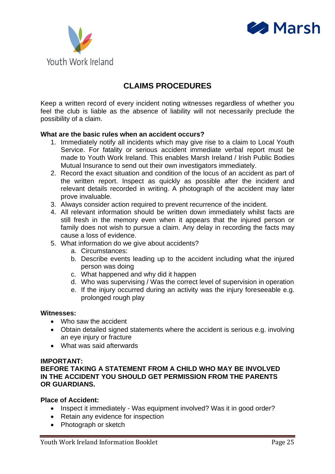



### **CLAIMS PROCEDURES**

Keep a written record of every incident noting witnesses regardless of whether you feel the club is liable as the absence of liability will not necessarily preclude the possibility of a claim.

#### **What are the basic rules when an accident occurs?**

- 1. Immediately notify all incidents which may give rise to a claim to Local Youth Service. For fatality or serious accident immediate verbal report must be made to Youth Work Ireland. This enables Marsh Ireland / Irish Public Bodies Mutual Insurance to send out their own investigators immediately.
- 2. Record the exact situation and condition of the locus of an accident as part of the written report. Inspect as quickly as possible after the incident and relevant details recorded in writing. A photograph of the accident may later prove invaluable.
- 3. Always consider action required to prevent recurrence of the incident.
- 4. All relevant information should be written down immediately whilst facts are still fresh in the memory even when it appears that the injured person or family does not wish to pursue a claim. Any delay in recording the facts may cause a loss of evidence.
- 5. What information do we give about accidents?
	- a. Circumstances:
	- b. Describe events leading up to the accident including what the injured person was doing
	- c. What happened and why did it happen
	- d. Who was supervising / Was the correct level of supervision in operation
	- e. If the injury occurred during an activity was the injury foreseeable e.g. prolonged rough play

#### **Witnesses:**

- Who saw the accident
- Obtain detailed signed statements where the accident is serious e.g. involving an eye injury or fracture
- What was said afterwards

#### **IMPORTANT:**

#### **BEFORE TAKING A STATEMENT FROM A CHILD WHO MAY BE INVOLVED IN THE ACCIDENT YOU SHOULD GET PERMISSION FROM THE PARENTS OR GUARDIANS.**

#### **Place of Accident:**

- Inspect it immediately Was equipment involved? Was it in good order?
- Retain any evidence for inspection
- Photograph or sketch